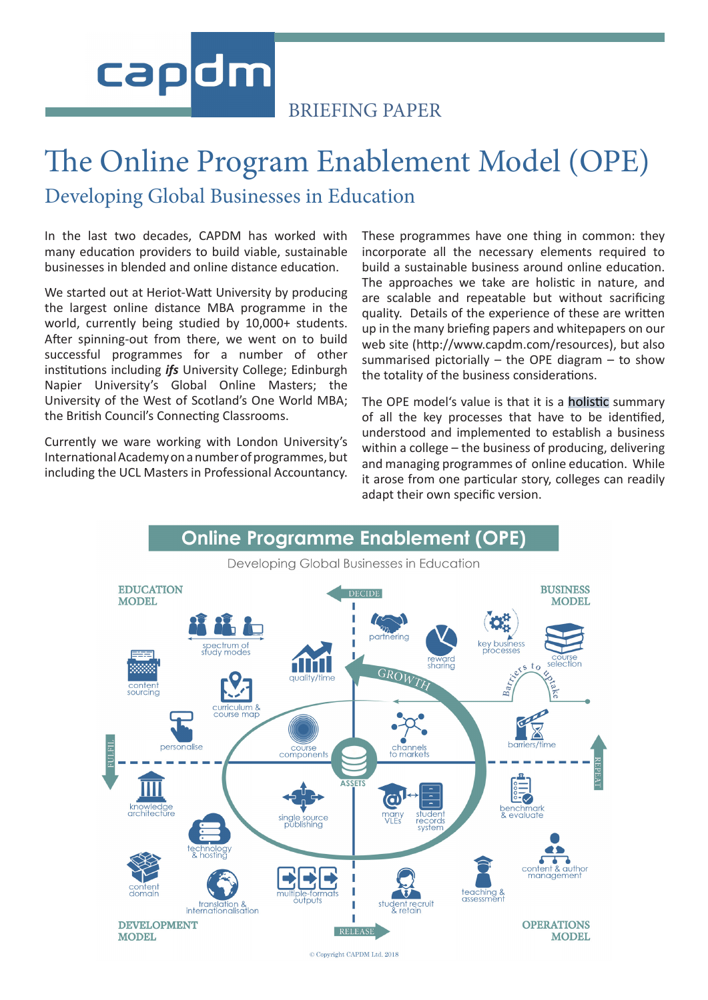# capdm

#### BRIEFING PAPER

# The Online Program Enablement Model (OPE) Developing Global Businesses in Education

In the last two decades, CAPDM has worked with many education providers to build viable, sustainable businesses in blended and online distance education.

We started out at Heriot-Watt University by producing the largest online distance MBA programme in the world, currently being studied by 10,000+ students. After spinning-out from there, we went on to build successful programmes for a number of other institutions including *ifs* University College; Edinburgh Napier University's Global Online Masters; the University of the West of Scotland's One World MBA; the British Council's Connecting Classrooms.

Currently we ware working with London University's International Academy on a number of programmes, but including the UCL Masters in Professional Accountancy. These programmes have one thing in common: they incorporate all the necessary elements required to build a sustainable business around online education. The approaches we take are holistic in nature, and are scalable and repeatable but without sacrificing quality. Details of the experience of these are written up in the many briefing papers and whitepapers on our web site (http://www.capdm.com/resources), but also summarised pictorially  $-$  the OPE diagram  $-$  to show the totality of the business considerations.

The OPE model's value is that it is a holistic summary of all the key processes that have to be identified, understood and implemented to establish a business within a college – the business of producing, delivering and managing programmes of online education. While it arose from one particular story, colleges can readily adapt their own specific version.



C Copyright CAPDM Ltd. 2018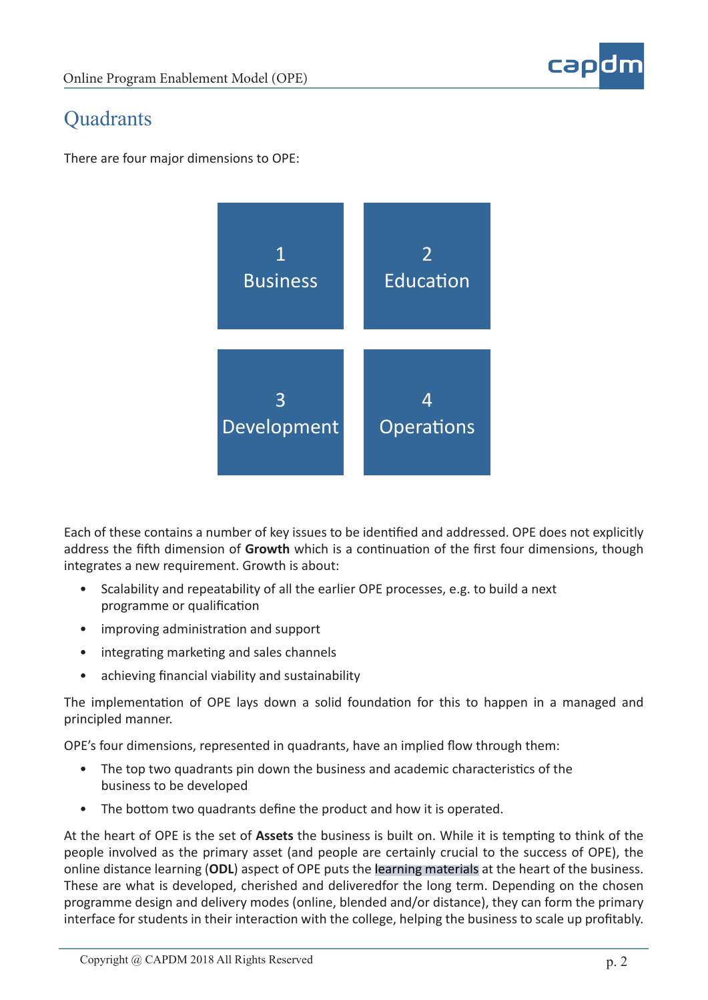

#### **Quadrants**

There are four major dimensions to OPE:



Each of these contains a number of key issues to be identified and addressed. OPE does not explicitly address the fifth dimension of **Growth** which is a continuation of the first four dimensions, though integrates a new requirement. Growth is about:

- Scalability and repeatability of all the earlier OPE processes, e.g. to build a next programme or qualification
- improving administration and support
- integrating marketing and sales channels
- achieving financial viability and sustainability

The implementation of OPE lays down a solid foundation for this to happen in a managed and principled manner.

OPE's four dimensions, represented in quadrants, have an implied flow through them:

- The top two quadrants pin down the business and academic characteristics of the business to be developed
- The bottom two quadrants define the product and how it is operated.

At the heart of OPE is the set of **Assets** the business is built on. While it is tempting to think of the people involved as the primary asset (and people are certainly crucial to the success of OPE), the online distance learning (**ODL**) aspect of OPE puts the learning materials at the heart of the business. These are what is developed, cherished and deliveredfor the long term. Depending on the chosen programme design and delivery modes (online, blended and/or distance), they can form the primary interface for students in their interaction with the college, helping the business to scale up profitably.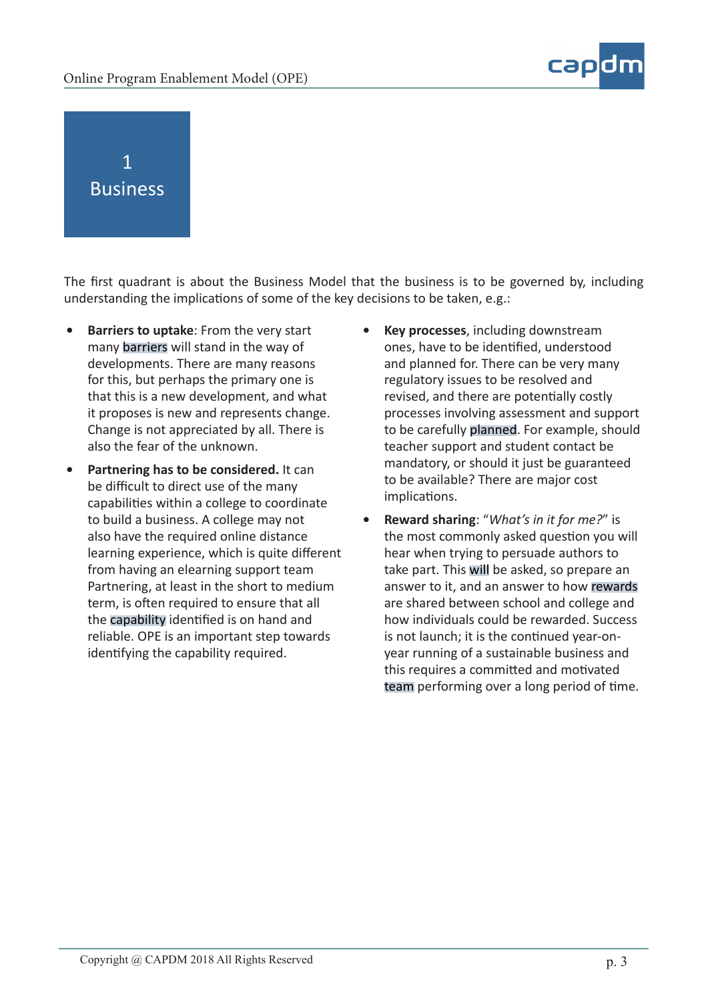



The first quadrant is about the Business Model that the business is to be governed by, including understanding the implications of some of the key decisions to be taken, e.g.:

- **• Barriers to uptake**: From the very start many barriers will stand in the way of developments. There are many reasons for this, but perhaps the primary one is that this is a new development, and what it proposes is new and represents change. Change is not appreciated by all. There is also the fear of the unknown.
- **• Partnering has to be considered.** It can be difficult to direct use of the many capabilities within a college to coordinate to build a business. A college may not also have the required online distance learning experience, which is quite different from having an elearning support team Partnering, at least in the short to medium term, is often required to ensure that all the capability identified is on hand and reliable. OPE is an important step towards identifying the capability required.
- **• Key processes**, including downstream ones, have to be identified, understood and planned for. There can be very many regulatory issues to be resolved and revised, and there are potentially costly processes involving assessment and support to be carefully planned. For example, should teacher support and student contact be mandatory, or should it just be guaranteed to be available? There are major cost implications.
- **• Reward sharing**: "*What's in it for me?*" is the most commonly asked question you will hear when trying to persuade authors to take part. This will be asked, so prepare an answer to it, and an answer to how rewards are shared between school and college and how individuals could be rewarded. Success is not launch; it is the continued year-onyear running of a sustainable business and this requires a committed and motivated team performing over a long period of time.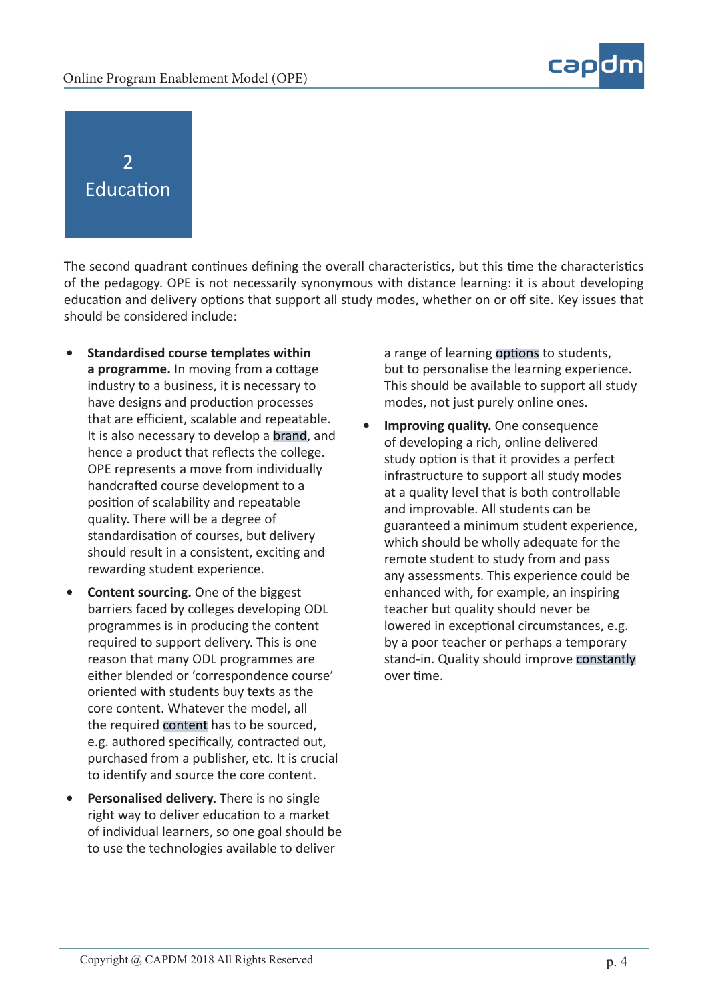

## 2 Education

The second quadrant continues defining the overall characteristics, but this time the characteristics of the pedagogy. OPE is not necessarily synonymous with distance learning: it is about developing education and delivery options that support all study modes, whether on or off site. Key issues that should be considered include:

- **• Standardised course templates within a programme.** In moving from a cottage industry to a business, it is necessary to have designs and production processes that are efficient, scalable and repeatable. It is also necessary to develop a brand, and hence a product that reflects the college. OPE represents a move from individually handcrafted course development to a position of scalability and repeatable quality. There will be a degree of standardisation of courses, but delivery should result in a consistent, exciting and rewarding student experience.
- **• Content sourcing.** One of the biggest barriers faced by colleges developing ODL programmes is in producing the content required to support delivery. This is one reason that many ODL programmes are either blended or 'correspondence course' oriented with students buy texts as the core content. Whatever the model, all the required content has to be sourced, e.g. authored specifically, contracted out, purchased from a publisher, etc. It is crucial to identify and source the core content.
- **• Personalised delivery.** There is no single right way to deliver education to a market of individual learners, so one goal should be to use the technologies available to deliver

a range of learning options to students, but to personalise the learning experience. This should be available to support all study modes, not just purely online ones.

**• Improving quality.** One consequence of developing a rich, online delivered study option is that it provides a perfect infrastructure to support all study modes at a quality level that is both controllable and improvable. All students can be guaranteed a minimum student experience, which should be wholly adequate for the remote student to study from and pass any assessments. This experience could be enhanced with, for example, an inspiring teacher but quality should never be lowered in exceptional circumstances, e.g. by a poor teacher or perhaps a temporary stand-in. Quality should improve constantly over time.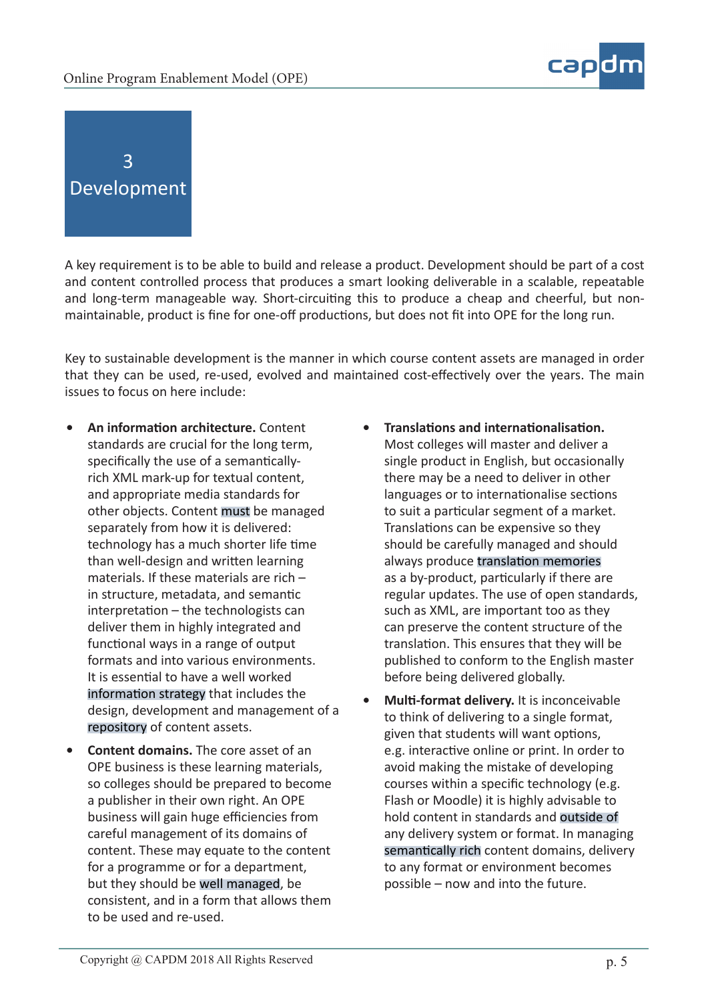

3 Development

A key requirement is to be able to build and release a product. Development should be part of a cost and content controlled process that produces a smart looking deliverable in a scalable, repeatable and long-term manageable way. Short-circuiting this to produce a cheap and cheerful, but nonmaintainable, product is fine for one-off productions, but does not fit into OPE for the long run.

Key to sustainable development is the manner in which course content assets are managed in order that they can be used, re-used, evolved and maintained cost-effectively over the years. The main issues to focus on here include:

- **• An information architecture.** Content standards are crucial for the long term, specifically the use of a semanticallyrich XML mark-up for textual content, and appropriate media standards for other objects. Content must be managed separately from how it is delivered: technology has a much shorter life time than well-design and written learning materials. If these materials are rich – in structure, metadata, and semantic interpretation – the technologists can deliver them in highly integrated and functional ways in a range of output formats and into various environments. It is essential to have a well worked information strategy that includes the design, development and management of a repository of content assets.
- **• Content domains.** The core asset of an OPE business is these learning materials, so colleges should be prepared to become a publisher in their own right. An OPE business will gain huge efficiencies from careful management of its domains of content. These may equate to the content for a programme or for a department, but they should be well managed, be consistent, and in a form that allows them to be used and re-used.
- **• Translations and internationalisation.** Most colleges will master and deliver a single product in English, but occasionally there may be a need to deliver in other languages or to internationalise sections to suit a particular segment of a market. Translations can be expensive so they should be carefully managed and should always produce translation memories as a by-product, particularly if there are regular updates. The use of open standards, such as XML, are important too as they can preserve the content structure of the translation. This ensures that they will be published to conform to the English master before being delivered globally.
- **• Multi-format delivery.** It is inconceivable to think of delivering to a single format, given that students will want options, e.g. interactive online or print. In order to avoid making the mistake of developing courses within a specific technology (e.g. Flash or Moodle) it is highly advisable to hold content in standards and outside of any delivery system or format. In managing semantically rich content domains, delivery to any format or environment becomes possible – now and into the future.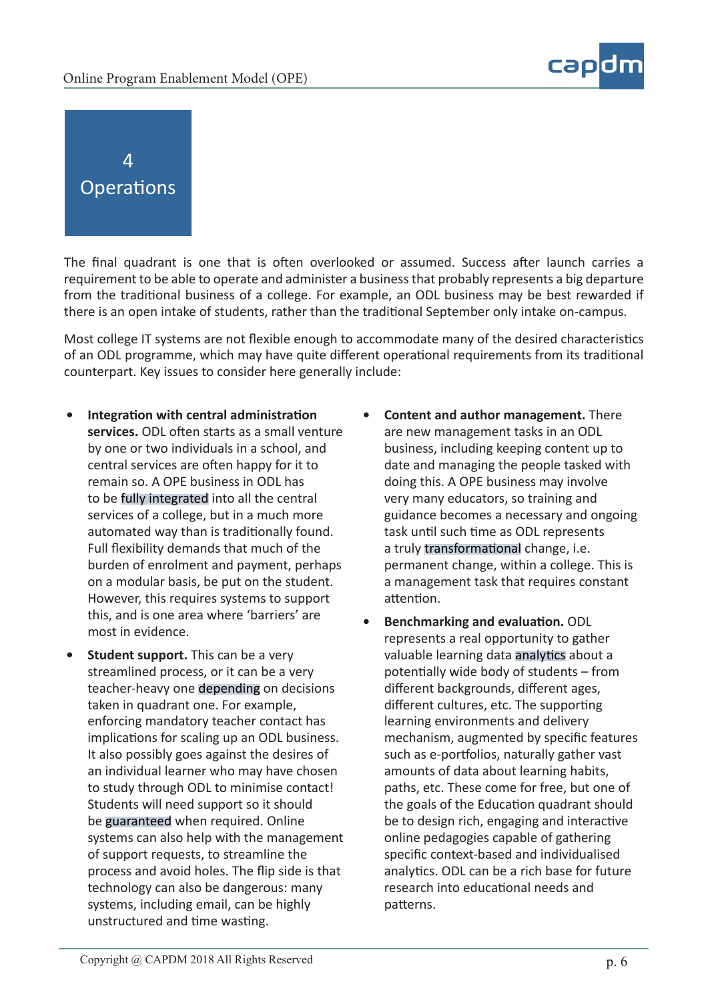

4 **Operations** 

The final quadrant is one that is often overlooked or assumed. Success after launch carries a requirement to be able to operate and administer a business that probably represents a big departure from the traditional business of a college. For example, an ODL business may be best rewarded if there is an open intake of students, rather than the traditional September only intake on-campus.

Most college IT systems are not flexible enough to accommodate many of the desired characteristics of an ODL programme, which may have quite different operational requirements from its traditional counterpart. Key issues to consider here generally include:

- **• Integration with central administration services.** ODL often starts as a small venture by one or two individuals in a school, and central services are often happy for it to remain so. A OPE business in ODL has to be fully integrated into all the central services of a college, but in a much more automated way than is traditionally found. Full flexibility demands that much of the burden of enrolment and payment, perhaps on a modular basis, be put on the student. However, this requires systems to support this, and is one area where 'barriers' are most in evidence.
- **• Student support.** This can be a very streamlined process, or it can be a very teacher-heavy one depending on decisions taken in quadrant one. For example, enforcing mandatory teacher contact has implications for scaling up an ODL business. It also possibly goes against the desires of an individual learner who may have chosen to study through ODL to minimise contact! Students will need support so it should be guaranteed when required. Online systems can also help with the management of support requests, to streamline the process and avoid holes. The flip side is that technology can also be dangerous: many systems, including email, can be highly unstructured and time wasting.
- **• Content and author management.** There are new management tasks in an ODL business, including keeping content up to date and managing the people tasked with doing this. A OPE business may involve very many educators, so training and guidance becomes a necessary and ongoing task until such time as ODL represents a truly transformational change, i.e. permanent change, within a college. This is a management task that requires constant attention.
- **• Benchmarking and evaluation.** ODL represents a real opportunity to gather valuable learning data analytics about a potentially wide body of students – from different backgrounds, different ages, different cultures, etc. The supporting learning environments and delivery mechanism, augmented by specific features such as e-portfolios, naturally gather vast amounts of data about learning habits, paths, etc. These come for free, but one of the goals of the Education quadrant should be to design rich, engaging and interactive online pedagogies capable of gathering specific context-based and individualised analytics. ODL can be a rich base for future research into educational needs and patterns.